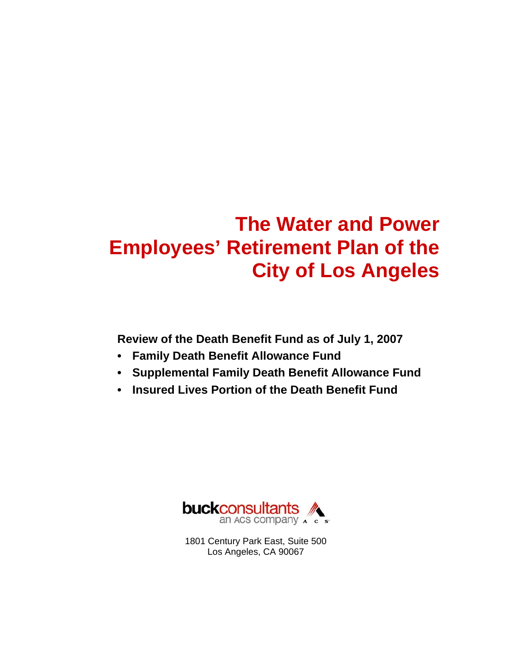# **The Water and Power Employees' Retirement Plan of the City of Los Angeles**

**Review of the Death Benefit Fund as of July 1, 2007** 

- **Family Death Benefit Allowance Fund**
- **Supplemental Family Death Benefit Allowance Fund**
- **Insured Lives Portion of the Death Benefit Fund**



1801 Century Park East, Suite 500 Los Angeles, CA 90067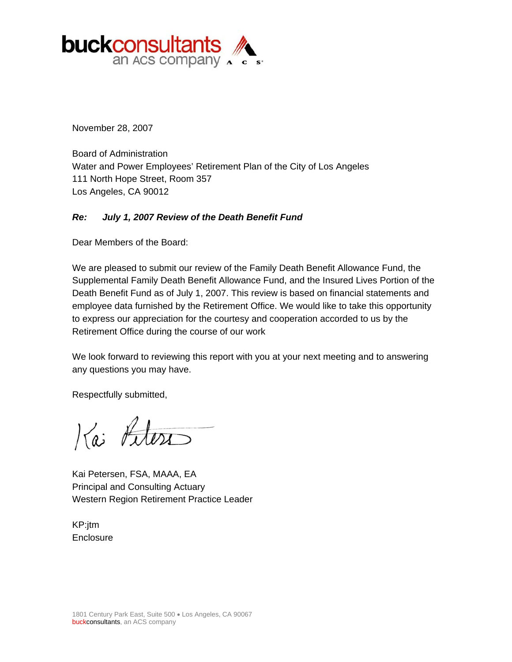

November 28, 2007

Board of Administration Water and Power Employees' Retirement Plan of the City of Los Angeles 111 North Hope Street, Room 357 Los Angeles, CA 90012

#### *Re: July 1, 2007 Review of the Death Benefit Fund*

Dear Members of the Board:

We are pleased to submit our review of the Family Death Benefit Allowance Fund, the Supplemental Family Death Benefit Allowance Fund, and the Insured Lives Portion of the Death Benefit Fund as of July 1, 2007. This review is based on financial statements and employee data furnished by the Retirement Office. We would like to take this opportunity to express our appreciation for the courtesy and cooperation accorded to us by the Retirement Office during the course of our work

We look forward to reviewing this report with you at your next meeting and to answering any questions you may have.

Respectfully submitted,

Kai Litera

Kai Petersen, FSA, MAAA, EA Principal and Consulting Actuary Western Region Retirement Practice Leader

KP:jtm **Enclosure**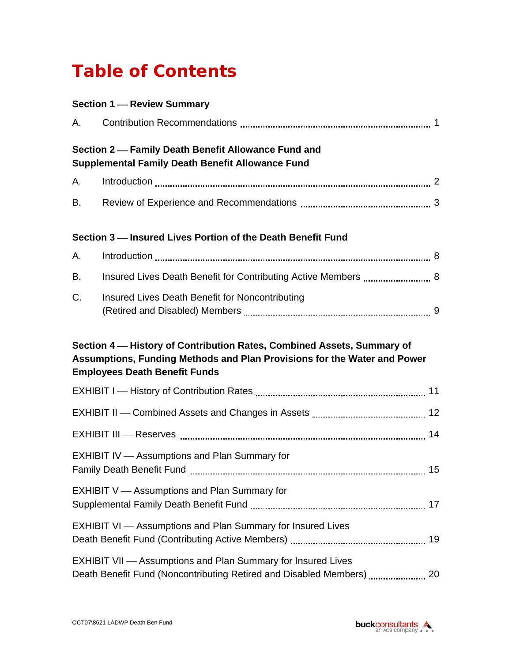# **Table of Contents**

|    | <b>Section 1 - Review Summary</b>                                                                                |
|----|------------------------------------------------------------------------------------------------------------------|
| А. |                                                                                                                  |
|    | Section 2-Family Death Benefit Allowance Fund and<br><b>Supplemental Family Death Benefit Allowance Fund</b>     |
| А. |                                                                                                                  |
| В. |                                                                                                                  |
|    | Section 3 - Insured Lives Portion of the Death Benefit Fund                                                      |
| А. |                                                                                                                  |
| В. |                                                                                                                  |
| C. | Insured Lives Death Benefit for Noncontributing                                                                  |
|    | Assumptions, Funding Methods and Plan Provisions for the Water and Power<br><b>Employees Death Benefit Funds</b> |
|    |                                                                                                                  |
|    |                                                                                                                  |
|    |                                                                                                                  |
|    | EXHIBIT IV - Assumptions and Plan Summary for                                                                    |
|    | <b>EXHIBIT V</b> - Assumptions and Plan Summary for                                                              |
|    | <b>EXHIBIT VI</b> - Assumptions and Plan Summary for Insured Lives                                               |
|    | <b>EXHIBIT VII</b> - Assumptions and Plan Summary for Insured Lives                                              |

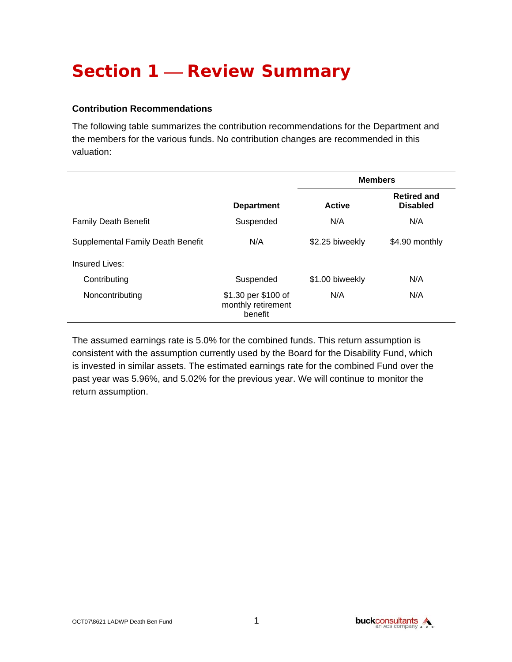# **Section 1 – Review Summary**

#### **Contribution Recommendations**

The following table summarizes the contribution recommendations for the Department and the members for the various funds. No contribution changes are recommended in this valuation:

|                                   |                                                      | <b>Members</b>  |                                       |
|-----------------------------------|------------------------------------------------------|-----------------|---------------------------------------|
|                                   | <b>Department</b>                                    | <b>Active</b>   | <b>Retired and</b><br><b>Disabled</b> |
| <b>Family Death Benefit</b>       | Suspended                                            | N/A             | N/A                                   |
| Supplemental Family Death Benefit | N/A                                                  | \$2.25 biweekly | \$4.90 monthly                        |
| Insured Lives:                    |                                                      |                 |                                       |
| Contributing                      | Suspended                                            | \$1.00 biweekly | N/A                                   |
| Noncontributing                   | \$1.30 per \$100 of<br>monthly retirement<br>benefit | N/A             | N/A                                   |

The assumed earnings rate is 5.0% for the combined funds. This return assumption is consistent with the assumption currently used by the Board for the Disability Fund, which is invested in similar assets. The estimated earnings rate for the combined Fund over the past year was 5.96%, and 5.02% for the previous year. We will continue to monitor the return assumption.

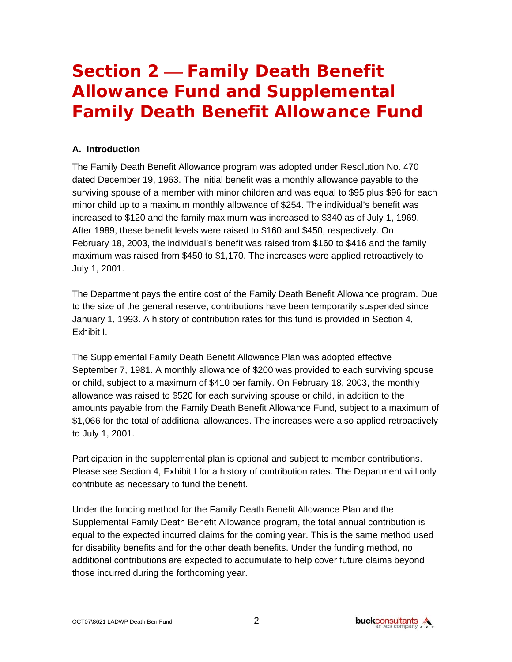# **Section 2 – Family Death Benefit Allowance Fund and Supplemental Family Death Benefit Allowance Fund**

#### **A. Introduction**

The Family Death Benefit Allowance program was adopted under Resolution No. 470 dated December 19, 1963. The initial benefit was a monthly allowance payable to the surviving spouse of a member with minor children and was equal to \$95 plus \$96 for each minor child up to a maximum monthly allowance of \$254. The individual's benefit was increased to \$120 and the family maximum was increased to \$340 as of July 1, 1969. After 1989, these benefit levels were raised to \$160 and \$450, respectively. On February 18, 2003, the individual's benefit was raised from \$160 to \$416 and the family maximum was raised from \$450 to \$1,170. The increases were applied retroactively to July 1, 2001.

The Department pays the entire cost of the Family Death Benefit Allowance program. Due to the size of the general reserve, contributions have been temporarily suspended since January 1, 1993. A history of contribution rates for this fund is provided in Section 4, Exhibit I.

The Supplemental Family Death Benefit Allowance Plan was adopted effective September 7, 1981. A monthly allowance of \$200 was provided to each surviving spouse or child, subject to a maximum of \$410 per family. On February 18, 2003, the monthly allowance was raised to \$520 for each surviving spouse or child, in addition to the amounts payable from the Family Death Benefit Allowance Fund, subject to a maximum of \$1,066 for the total of additional allowances. The increases were also applied retroactively to July 1, 2001.

Participation in the supplemental plan is optional and subject to member contributions. Please see Section 4, Exhibit I for a history of contribution rates. The Department will only contribute as necessary to fund the benefit.

Under the funding method for the Family Death Benefit Allowance Plan and the Supplemental Family Death Benefit Allowance program, the total annual contribution is equal to the expected incurred claims for the coming year. This is the same method used for disability benefits and for the other death benefits. Under the funding method, no additional contributions are expected to accumulate to help cover future claims beyond those incurred during the forthcoming year.

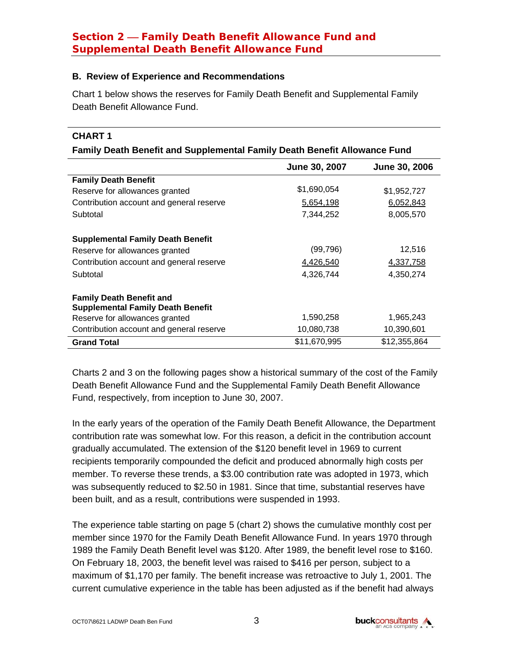#### **B. Review of Experience and Recommendations**

Chart 1 below shows the reserves for Family Death Benefit and Supplemental Family Death Benefit Allowance Fund.

#### **CHART 1**

#### **Family Death Benefit and Supplemental Family Death Benefit Allowance Fund**

|                                                                             | June 30, 2007 | June 30, 2006 |
|-----------------------------------------------------------------------------|---------------|---------------|
| <b>Family Death Benefit</b>                                                 |               |               |
| Reserve for allowances granted                                              | \$1,690,054   | \$1,952,727   |
| Contribution account and general reserve                                    | 5,654,198     | 6,052,843     |
| Subtotal                                                                    | 7,344,252     | 8,005,570     |
| <b>Supplemental Family Death Benefit</b>                                    |               |               |
| Reserve for allowances granted                                              | (99, 796)     | 12,516        |
| Contribution account and general reserve                                    | 4,426,540     | 4,337,758     |
| Subtotal                                                                    | 4,326,744     | 4,350,274     |
| <b>Family Death Benefit and</b><br><b>Supplemental Family Death Benefit</b> |               |               |
| Reserve for allowances granted                                              | 1,590,258     | 1,965,243     |
| Contribution account and general reserve                                    | 10,080,738    | 10,390,601    |
| <b>Grand Total</b>                                                          | \$11,670,995  | \$12,355,864  |

Charts 2 and 3 on the following pages show a historical summary of the cost of the Family Death Benefit Allowance Fund and the Supplemental Family Death Benefit Allowance Fund, respectively, from inception to June 30, 2007.

In the early years of the operation of the Family Death Benefit Allowance, the Department contribution rate was somewhat low. For this reason, a deficit in the contribution account gradually accumulated. The extension of the \$120 benefit level in 1969 to current recipients temporarily compounded the deficit and produced abnormally high costs per member. To reverse these trends, a \$3.00 contribution rate was adopted in 1973, which was subsequently reduced to \$2.50 in 1981. Since that time, substantial reserves have been built, and as a result, contributions were suspended in 1993.

The experience table starting on page 5 (chart 2) shows the cumulative monthly cost per member since 1970 for the Family Death Benefit Allowance Fund. In years 1970 through 1989 the Family Death Benefit level was \$120. After 1989, the benefit level rose to \$160. On February 18, 2003, the benefit level was raised to \$416 per person, subject to a maximum of \$1,170 per family. The benefit increase was retroactive to July 1, 2001. The current cumulative experience in the table has been adjusted as if the benefit had always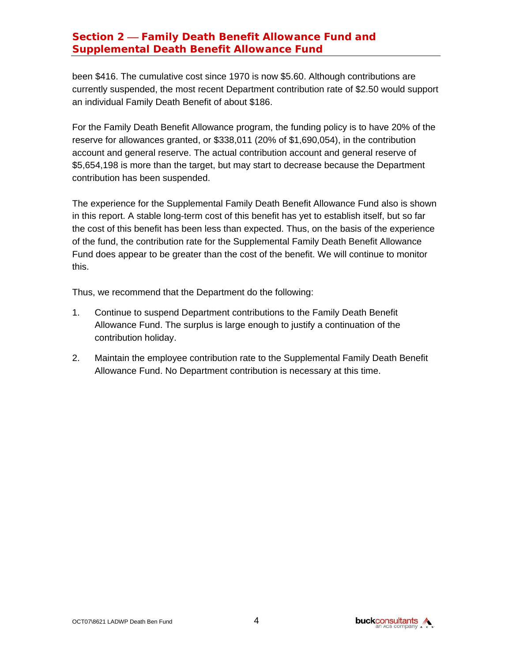# **Section 2 – Family Death Benefit Allowance Fund and Supplemental Death Benefit Allowance Fund**

been \$416. The cumulative cost since 1970 is now \$5.60. Although contributions are currently suspended, the most recent Department contribution rate of \$2.50 would support an individual Family Death Benefit of about \$186.

For the Family Death Benefit Allowance program, the funding policy is to have 20% of the reserve for allowances granted, or \$338,011 (20% of \$1,690,054), in the contribution account and general reserve. The actual contribution account and general reserve of \$5,654,198 is more than the target, but may start to decrease because the Department contribution has been suspended.

The experience for the Supplemental Family Death Benefit Allowance Fund also is shown in this report. A stable long-term cost of this benefit has yet to establish itself, but so far the cost of this benefit has been less than expected. Thus, on the basis of the experience of the fund, the contribution rate for the Supplemental Family Death Benefit Allowance Fund does appear to be greater than the cost of the benefit. We will continue to monitor this.

Thus, we recommend that the Department do the following:

- 1. Continue to suspend Department contributions to the Family Death Benefit Allowance Fund. The surplus is large enough to justify a continuation of the contribution holiday.
- 2. Maintain the employee contribution rate to the Supplemental Family Death Benefit Allowance Fund. No Department contribution is necessary at this time.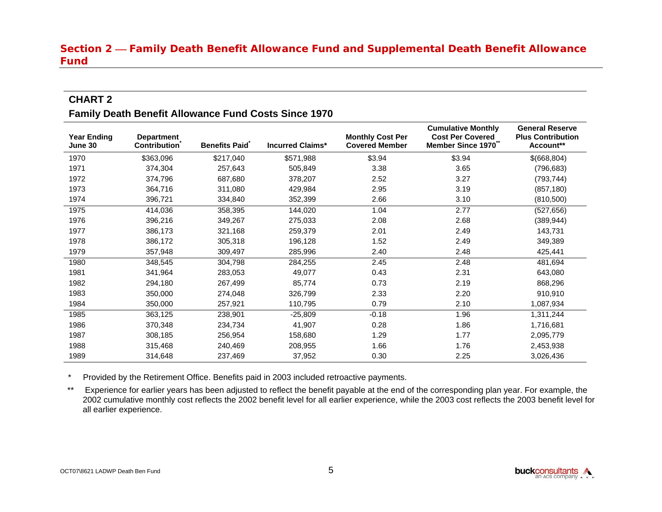# **Section 2 – Family Death Benefit Allowance Fund and Supplemental Death Benefit Allowance Fund**

# **CHART 2**

#### **Family Death Benefit Allowance Fund Costs Since 1970**

| <b>Year Ending</b><br>June 30 | <b>Department</b><br><b>Contribution</b> | <b>Benefits Paid</b> | <b>Incurred Claims*</b> | <b>Monthly Cost Per</b><br><b>Covered Member</b> | <b>Cumulative Monthly</b><br><b>Cost Per Covered</b><br>Member Since 1970 <sup>®</sup> | <b>General Reserve</b><br><b>Plus Contribution</b><br>Account** |
|-------------------------------|------------------------------------------|----------------------|-------------------------|--------------------------------------------------|----------------------------------------------------------------------------------------|-----------------------------------------------------------------|
| 1970                          | \$363,096                                | \$217,040            | \$571,988               | \$3.94                                           | \$3.94                                                                                 | \$(668,804)                                                     |
| 1971                          | 374,304                                  | 257,643              | 505,849                 | 3.38                                             | 3.65                                                                                   | (796, 683)                                                      |
| 1972                          | 374,796                                  | 687,680              | 378,207                 | 2.52                                             | 3.27                                                                                   | (793, 744)                                                      |
| 1973                          | 364,716                                  | 311,080              | 429,984                 | 2.95                                             | 3.19                                                                                   | (857, 180)                                                      |
| 1974                          | 396,721                                  | 334,840              | 352,399                 | 2.66                                             | 3.10                                                                                   | (810, 500)                                                      |
| 1975                          | 414,036                                  | 358,395              | 144,020                 | 1.04                                             | 2.77                                                                                   | (527, 656)                                                      |
| 1976                          | 396,216                                  | 349,267              | 275,033                 | 2.08                                             | 2.68                                                                                   | (389,944)                                                       |
| 1977                          | 386,173                                  | 321,168              | 259,379                 | 2.01                                             | 2.49                                                                                   | 143,731                                                         |
| 1978                          | 386,172                                  | 305,318              | 196,128                 | 1.52                                             | 2.49                                                                                   | 349,389                                                         |
| 1979                          | 357,948                                  | 309,497              | 285,996                 | 2.40                                             | 2.48                                                                                   | 425,441                                                         |
| 1980                          | 348,545                                  | 304,798              | 284,255                 | 2.45                                             | 2.48                                                                                   | 481,694                                                         |
| 1981                          | 341,964                                  | 283,053              | 49,077                  | 0.43                                             | 2.31                                                                                   | 643,080                                                         |
| 1982                          | 294,180                                  | 267,499              | 85,774                  | 0.73                                             | 2.19                                                                                   | 868,296                                                         |
| 1983                          | 350,000                                  | 274,048              | 326,799                 | 2.33                                             | 2.20                                                                                   | 910,910                                                         |
| 1984                          | 350,000                                  | 257,921              | 110,795                 | 0.79                                             | 2.10                                                                                   | 1,087,934                                                       |
| 1985                          | 363,125                                  | 238,901              | $-25,809$               | $-0.18$                                          | 1.96                                                                                   | 1,311,244                                                       |
| 1986                          | 370,348                                  | 234,734              | 41,907                  | 0.28                                             | 1.86                                                                                   | 1,716,681                                                       |
| 1987                          | 308,185                                  | 256,954              | 158,680                 | 1.29                                             | 1.77                                                                                   | 2,095,779                                                       |
| 1988                          | 315,468                                  | 240,469              | 208,955                 | 1.66                                             | 1.76                                                                                   | 2,453,938                                                       |
| 1989                          | 314,648                                  | 237,469              | 37,952                  | 0.30                                             | 2.25                                                                                   | 3,026,436                                                       |

\* Provided by the Retirement Office. Benefits paid in 2003 included retroactive payments.

\*\* Experience for earlier years has been adjusted to reflect the benefit payable at the end of the corresponding plan year. For example, the 2002 cumulative monthly cost reflects the 2002 benefit level for all earlier experience, while the 2003 cost reflects the 2003 benefit level for all earlier experience.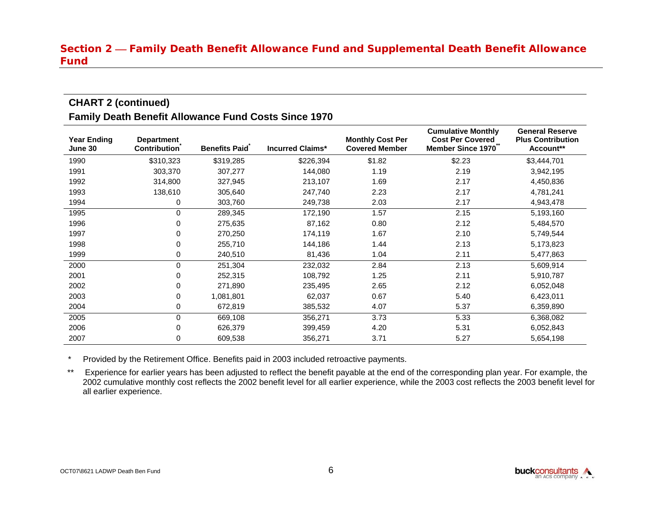#### **Section 2 – Family Death Benefit Allowance Fund and Supplemental Death Benefit Allowance Fund**

# **CHART 2 (continued) Family Death Benefit Allowance Fund Costs Since 1970**

| <b>Year Ending</b><br>June 30 | <b>Department</b><br><b>Contribution</b> | <b>Benefits Paid</b> | <b>Incurred Claims*</b> | <b>Monthly Cost Per</b><br><b>Covered Member</b> | <b>Cumulative Monthly</b><br><b>Cost Per Covered</b><br>Member Since 1970 | <b>General Reserve</b><br><b>Plus Contribution</b><br>Account** |
|-------------------------------|------------------------------------------|----------------------|-------------------------|--------------------------------------------------|---------------------------------------------------------------------------|-----------------------------------------------------------------|
| 1990                          | \$310,323                                | \$319,285            | \$226,394               | \$1.82                                           | \$2.23                                                                    | \$3,444,701                                                     |
| 1991                          | 303,370                                  | 307,277              | 144,080                 | 1.19                                             | 2.19                                                                      | 3,942,195                                                       |
| 1992                          | 314,800                                  | 327,945              | 213,107                 | 1.69                                             | 2.17                                                                      | 4,450,836                                                       |
| 1993                          | 138,610                                  | 305,640              | 247,740                 | 2.23                                             | 2.17                                                                      | 4,781,241                                                       |
| 1994                          | 0                                        | 303,760              | 249,738                 | 2.03                                             | 2.17                                                                      | 4,943,478                                                       |
| 1995                          | 0                                        | 289,345              | 172,190                 | 1.57                                             | 2.15                                                                      | 5,193,160                                                       |
| 1996                          | 0                                        | 275,635              | 87,162                  | 0.80                                             | 2.12                                                                      | 5,484,570                                                       |
| 1997                          | 0                                        | 270,250              | 174,119                 | 1.67                                             | 2.10                                                                      | 5,749,544                                                       |
| 1998                          | 0                                        | 255,710              | 144,186                 | 1.44                                             | 2.13                                                                      | 5,173,823                                                       |
| 1999                          | 0                                        | 240,510              | 81,436                  | 1.04                                             | 2.11                                                                      | 5,477,863                                                       |
| 2000                          | 0                                        | 251,304              | 232,032                 | 2.84                                             | 2.13                                                                      | 5,609,914                                                       |
| 2001                          | 0                                        | 252,315              | 108,792                 | 1.25                                             | 2.11                                                                      | 5,910,787                                                       |
| 2002                          | 0                                        | 271,890              | 235,495                 | 2.65                                             | 2.12                                                                      | 6,052,048                                                       |
| 2003                          | 0                                        | 1,081,801            | 62,037                  | 0.67                                             | 5.40                                                                      | 6,423,011                                                       |
| 2004                          | 0                                        | 672,819              | 385,532                 | 4.07                                             | 5.37                                                                      | 6,359,890                                                       |
| 2005                          | 0                                        | 669,108              | 356,271                 | 3.73                                             | 5.33                                                                      | 6,368,082                                                       |
| 2006                          | 0                                        | 626,379              | 399,459                 | 4.20                                             | 5.31                                                                      | 6,052,843                                                       |
| 2007                          | 0                                        | 609,538              | 356,271                 | 3.71                                             | 5.27                                                                      | 5,654,198                                                       |

\* Provided by the Retirement Office. Benefits paid in 2003 included retroactive payments.

\*\* Experience for earlier years has been adjusted to reflect the benefit payable at the end of the corresponding plan year. For example, the 2002 cumulative monthly cost reflects the 2002 benefit level for all earlier experience, while the 2003 cost reflects the 2003 benefit level for all earlier experience.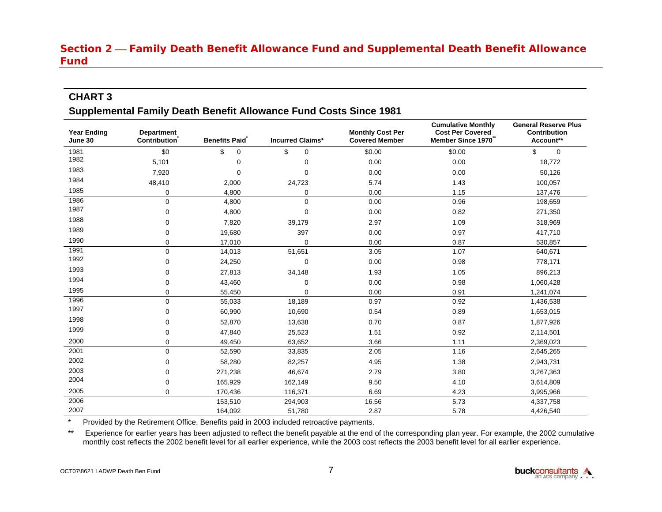# **Section 2 – Family Death Benefit Allowance Fund and Supplemental Death Benefit Allowance Fund**

#### **CHART 3**

#### **Supplemental Family Death Benefit Allowance Fund Costs Since 1981**

| <b>Year Ending</b><br>June 30 | <b>Department</b><br><b>Contribution</b> | <b>Benefits Paid</b> | <b>Incurred Claims*</b> | <b>Monthly Cost Per</b><br><b>Covered Member</b> | <b>Cumulative Monthly</b><br><b>Cost Per Covered</b><br>Member Since 1970 | <b>General Reserve Plus</b><br><b>Contribution</b><br>Account** |
|-------------------------------|------------------------------------------|----------------------|-------------------------|--------------------------------------------------|---------------------------------------------------------------------------|-----------------------------------------------------------------|
| 1981                          | \$0                                      | \$<br>0              | \$<br>$\mathbf 0$       | \$0.00                                           | \$0.00                                                                    | \$<br>0                                                         |
| 1982                          | 5,101                                    | 0                    | 0                       | 0.00                                             | 0.00                                                                      | 18,772                                                          |
| 1983                          | 7,920                                    | $\Omega$             | $\mathbf 0$             | 0.00                                             | 0.00                                                                      | 50,126                                                          |
| 1984                          | 48,410                                   | 2,000                | 24,723                  | 5.74                                             | 1.43                                                                      | 100,057                                                         |
| 1985                          | 0                                        | 4,800                | 0                       | 0.00                                             | 1.15                                                                      | 137,476                                                         |
| 1986                          | $\mathbf 0$                              | 4,800                | $\mathbf 0$             | 0.00                                             | 0.96                                                                      | 198,659                                                         |
| 1987                          | $\mathbf 0$                              | 4,800                | 0                       | 0.00                                             | 0.82                                                                      | 271,350                                                         |
| 1988                          | 0                                        | 7,820                | 39,179                  | 2.97                                             | 1.09                                                                      | 318,969                                                         |
| 1989                          | 0                                        | 19,680               | 397                     | 0.00                                             | 0.97                                                                      | 417,710                                                         |
| 1990                          | 0                                        | 17,010               | 0                       | 0.00                                             | 0.87                                                                      | 530,857                                                         |
| 1991                          | $\Omega$                                 | 14,013               | 51,651                  | 3.05                                             | 1.07                                                                      | 640,671                                                         |
| 1992                          | 0                                        | 24,250               | $\mathbf 0$             | 0.00                                             | 0.98                                                                      | 778,171                                                         |
| 1993                          | 0                                        | 27,813               | 34,148                  | 1.93                                             | 1.05                                                                      | 896,213                                                         |
| 1994                          | 0                                        | 43,460               | 0                       | 0.00                                             | 0.98                                                                      | 1,060,428                                                       |
| 1995                          | 0                                        | 55,450               | $\mathbf 0$             | 0.00                                             | 0.91                                                                      | 1,241,074                                                       |
| 1996                          | $\mathbf 0$                              | 55,033               | 18,189                  | 0.97                                             | 0.92                                                                      | 1,436,538                                                       |
| 1997                          | 0                                        | 60,990               | 10,690                  | 0.54                                             | 0.89                                                                      | 1,653,015                                                       |
| 1998                          | 0                                        | 52,870               | 13,638                  | 0.70                                             | 0.87                                                                      | 1,877,926                                                       |
| 1999                          | 0                                        | 47,840               | 25,523                  | 1.51                                             | 0.92                                                                      | 2,114,501                                                       |
| 2000                          | 0                                        | 49,450               | 63,652                  | 3.66                                             | 1.11                                                                      | 2,369,023                                                       |
| 2001                          | $\mathbf 0$                              | 52,590               | 33,835                  | 2.05                                             | 1.16                                                                      | 2,645,265                                                       |
| 2002                          | $\mathbf 0$                              | 58,280               | 82,257                  | 4.95                                             | 1.38                                                                      | 2,943,731                                                       |
| 2003                          | 0                                        | 271,238              | 46,674                  | 2.79                                             | 3.80                                                                      | 3,267,363                                                       |
| 2004                          | 0                                        | 165,929              | 162,149                 | 9.50                                             | 4.10                                                                      | 3,614,809                                                       |
| 2005                          | $\Omega$                                 | 170,436              | 116,371                 | 6.69                                             | 4.23                                                                      | 3,995,966                                                       |
| 2006                          |                                          | 153,510              | 294,903                 | 16.56                                            | 5.73                                                                      | 4,337,758                                                       |
| 2007                          |                                          | 164,092              | 51,780                  | 2.87                                             | 5.78                                                                      | 4,426,540                                                       |

\* Provided by the Retirement Office. Benefits paid in 2003 included retroactive payments.

\*\* Experience for earlier years has been adjusted to reflect the benefit payable at the end of the corresponding plan year. For example, the 2002 cumulative monthly cost reflects the 2002 benefit level for all earlier experience, while the 2003 cost reflects the 2003 benefit level for all earlier experience.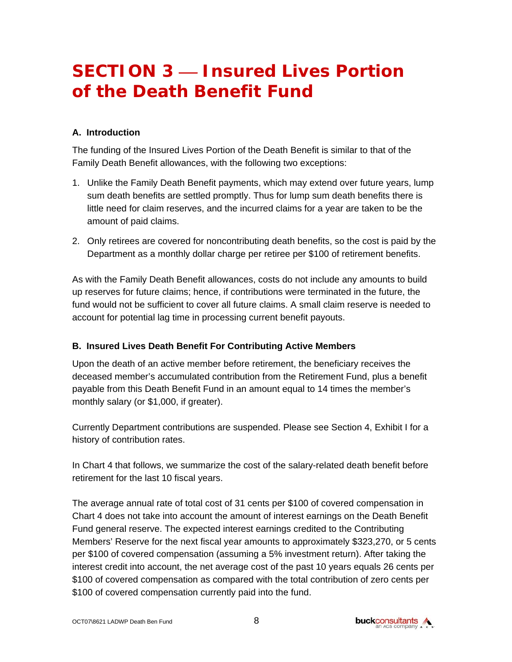# **SECTION 3 – Insured Lives Portion of the Death Benefit Fund**

#### **A. Introduction**

The funding of the Insured Lives Portion of the Death Benefit is similar to that of the Family Death Benefit allowances, with the following two exceptions:

- 1. Unlike the Family Death Benefit payments, which may extend over future years, lump sum death benefits are settled promptly. Thus for lump sum death benefits there is little need for claim reserves, and the incurred claims for a year are taken to be the amount of paid claims.
- 2. Only retirees are covered for noncontributing death benefits, so the cost is paid by the Department as a monthly dollar charge per retiree per \$100 of retirement benefits.

As with the Family Death Benefit allowances, costs do not include any amounts to build up reserves for future claims; hence, if contributions were terminated in the future, the fund would not be sufficient to cover all future claims. A small claim reserve is needed to account for potential lag time in processing current benefit payouts.

#### **B. Insured Lives Death Benefit For Contributing Active Members**

Upon the death of an active member before retirement, the beneficiary receives the deceased member's accumulated contribution from the Retirement Fund, plus a benefit payable from this Death Benefit Fund in an amount equal to 14 times the member's monthly salary (or \$1,000, if greater).

Currently Department contributions are suspended. Please see Section 4, Exhibit I for a history of contribution rates.

In Chart 4 that follows, we summarize the cost of the salary-related death benefit before retirement for the last 10 fiscal years.

The average annual rate of total cost of 31 cents per \$100 of covered compensation in Chart 4 does not take into account the amount of interest earnings on the Death Benefit Fund general reserve. The expected interest earnings credited to the Contributing Members' Reserve for the next fiscal year amounts to approximately \$323,270, or 5 cents per \$100 of covered compensation (assuming a 5% investment return). After taking the interest credit into account, the net average cost of the past 10 years equals 26 cents per \$100 of covered compensation as compared with the total contribution of zero cents per \$100 of covered compensation currently paid into the fund.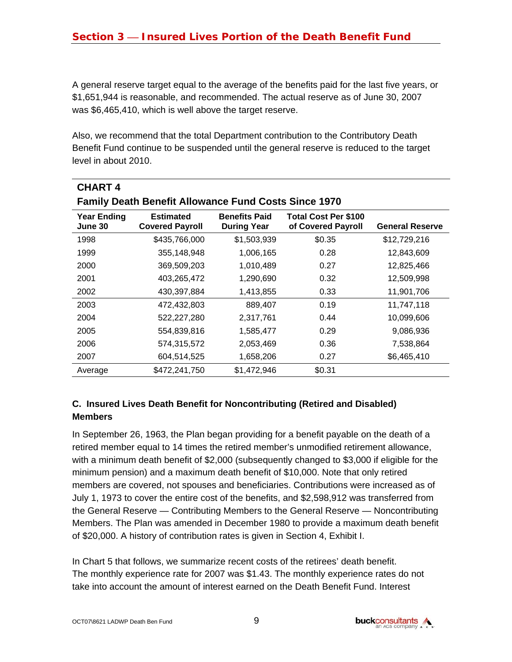A general reserve target equal to the average of the benefits paid for the last five years, or \$1,651,944 is reasonable, and recommended. The actual reserve as of June 30, 2007 was \$6,465,410, which is well above the target reserve.

Also, we recommend that the total Department contribution to the Contributory Death Benefit Fund continue to be suspended until the general reserve is reduced to the target level in about 2010.

| <b>CHART4</b>                                               |                                            |                                            |                                                   |                        |  |  |  |
|-------------------------------------------------------------|--------------------------------------------|--------------------------------------------|---------------------------------------------------|------------------------|--|--|--|
| <b>Family Death Benefit Allowance Fund Costs Since 1970</b> |                                            |                                            |                                                   |                        |  |  |  |
| <b>Year Ending</b><br>June 30                               | <b>Estimated</b><br><b>Covered Payroll</b> | <b>Benefits Paid</b><br><b>During Year</b> | <b>Total Cost Per \$100</b><br>of Covered Payroll | <b>General Reserve</b> |  |  |  |
| 1998                                                        | \$435,766,000                              | \$1,503,939                                | \$0.35                                            | \$12,729,216           |  |  |  |
| 1999                                                        | 355,148,948                                | 1,006,165                                  | 0.28                                              | 12,843,609             |  |  |  |
| 2000                                                        | 369,509,203                                | 1,010,489                                  | 0.27                                              | 12,825,466             |  |  |  |
| 2001                                                        | 403,265,472                                | 1,290,690                                  | 0.32                                              | 12,509,998             |  |  |  |
| 2002                                                        | 430,397,884                                | 1,413,855                                  | 0.33                                              | 11,901,706             |  |  |  |
| 2003                                                        | 472,432,803                                | 889,407                                    | 0.19                                              | 11,747,118             |  |  |  |
| 2004                                                        | 522,227,280                                | 2,317,761                                  | 0.44                                              | 10,099,606             |  |  |  |
| 2005                                                        | 554,839,816                                | 1,585,477                                  | 0.29                                              | 9,086,936              |  |  |  |
| 2006                                                        | 574,315,572                                | 2,053,469                                  | 0.36                                              | 7,538,864              |  |  |  |
| 2007                                                        | 604,514,525                                | 1,658,206                                  | 0.27                                              | \$6,465,410            |  |  |  |
| Average                                                     | \$472,241,750                              | \$1,472,946                                | \$0.31                                            |                        |  |  |  |

# **C. Insured Lives Death Benefit for Noncontributing (Retired and Disabled) Members**

In September 26, 1963, the Plan began providing for a benefit payable on the death of a retired member equal to 14 times the retired member's unmodified retirement allowance, with a minimum death benefit of \$2,000 (subsequently changed to \$3,000 if eligible for the minimum pension) and a maximum death benefit of \$10,000. Note that only retired members are covered, not spouses and beneficiaries. Contributions were increased as of July 1, 1973 to cover the entire cost of the benefits, and \$2,598,912 was transferred from the General Reserve — Contributing Members to the General Reserve — Noncontributing Members. The Plan was amended in December 1980 to provide a maximum death benefit of \$20,000. A history of contribution rates is given in Section 4, Exhibit I.

In Chart 5 that follows, we summarize recent costs of the retirees' death benefit. The monthly experience rate for 2007 was \$1.43. The monthly experience rates do not take into account the amount of interest earned on the Death Benefit Fund. Interest

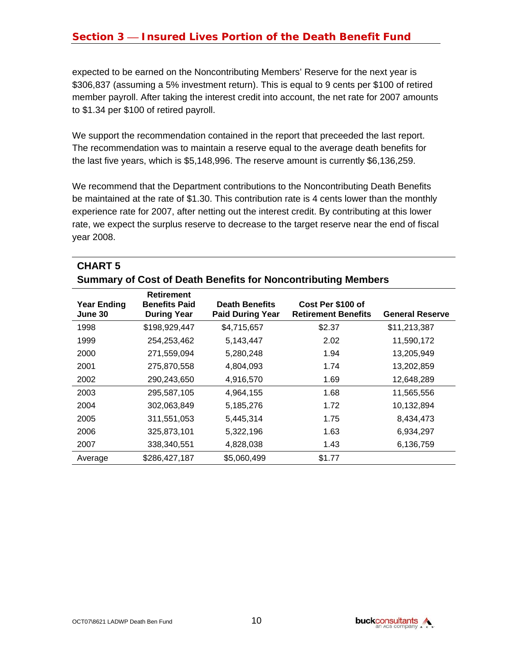# **Section 3 – Insured Lives Portion of the Death Benefit Fund**

expected to be earned on the Noncontributing Members' Reserve for the next year is \$306,837 (assuming a 5% investment return). This is equal to 9 cents per \$100 of retired member payroll. After taking the interest credit into account, the net rate for 2007 amounts to \$1.34 per \$100 of retired payroll.

We support the recommendation contained in the report that preceeded the last report. The recommendation was to maintain a reserve equal to the average death benefits for the last five years, which is \$5,148,996. The reserve amount is currently \$6,136,259.

We recommend that the Department contributions to the Noncontributing Death Benefits be maintained at the rate of \$1.30. This contribution rate is 4 cents lower than the monthly experience rate for 2007, after netting out the interest credit. By contributing at this lower rate, we expect the surplus reserve to decrease to the target reserve near the end of fiscal year 2008.

| <b>Summary of Cost of Death Benefits for Noncontributing Members</b> |                                                                 |                                                  |                                                 |                        |  |
|----------------------------------------------------------------------|-----------------------------------------------------------------|--------------------------------------------------|-------------------------------------------------|------------------------|--|
| <b>Year Ending</b><br>June 30                                        | <b>Retirement</b><br><b>Benefits Paid</b><br><b>During Year</b> | <b>Death Benefits</b><br><b>Paid During Year</b> | Cost Per \$100 of<br><b>Retirement Benefits</b> | <b>General Reserve</b> |  |
| 1998                                                                 | \$198,929,447                                                   | \$4,715,657                                      | \$2.37                                          | \$11,213,387           |  |
| 1999                                                                 | 254,253,462                                                     | 5,143,447                                        | 2.02                                            | 11,590,172             |  |
| 2000                                                                 | 271,559,094                                                     | 5,280,248                                        | 1.94                                            | 13,205,949             |  |
| 2001                                                                 | 275,870,558                                                     | 4,804,093                                        | 1.74                                            | 13,202,859             |  |
| 2002                                                                 | 290,243,650                                                     | 4,916,570                                        | 1.69                                            | 12,648,289             |  |
| 2003                                                                 | 295,587,105                                                     | 4,964,155                                        | 1.68                                            | 11,565,556             |  |
| 2004                                                                 | 302,063,849                                                     | 5,185,276                                        | 1.72                                            | 10,132,894             |  |
| 2005                                                                 | 311,551,053                                                     | 5,445,314                                        | 1.75                                            | 8,434,473              |  |
| 2006                                                                 | 325,873,101                                                     | 5,322,196                                        | 1.63                                            | 6,934,297              |  |
| 2007                                                                 | 338,340,551                                                     | 4,828,038                                        | 1.43                                            | 6,136,759              |  |
| Average                                                              | \$286,427,187                                                   | \$5,060,499                                      | \$1.77                                          |                        |  |

**CHART 5**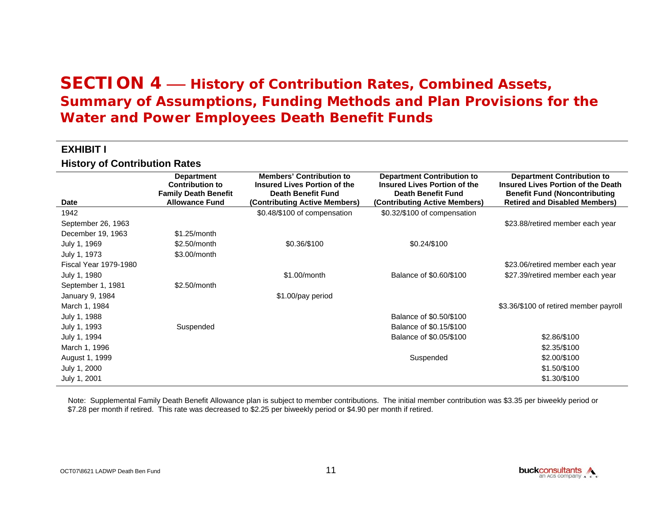#### **EXHIBIT I**

**History of Contribution Rates**

| <b>Date</b>                  | <b>Department</b><br><b>Contribution to</b><br><b>Family Death Benefit</b><br><b>Allowance Fund</b> | <b>Members' Contribution to</b><br>Insured Lives Portion of the<br>Death Benefit Fund<br>(Contributing Active Members) | <b>Department Contribution to</b><br><b>Insured Lives Portion of the</b><br>Death Benefit Fund<br>(Contributing Active Members) | <b>Department Contribution to</b><br><b>Insured Lives Portion of the Death</b><br><b>Benefit Fund (Noncontributing</b><br><b>Retired and Disabled Members)</b> |
|------------------------------|-----------------------------------------------------------------------------------------------------|------------------------------------------------------------------------------------------------------------------------|---------------------------------------------------------------------------------------------------------------------------------|----------------------------------------------------------------------------------------------------------------------------------------------------------------|
| 1942                         |                                                                                                     | \$0.48/\$100 of compensation                                                                                           | \$0.32/\$100 of compensation                                                                                                    |                                                                                                                                                                |
| September 26, 1963           |                                                                                                     |                                                                                                                        |                                                                                                                                 | \$23.88/retired member each year                                                                                                                               |
| December 19, 1963            | $$1.25/m$ onth                                                                                      |                                                                                                                        |                                                                                                                                 |                                                                                                                                                                |
| July 1, 1969                 | \$2.50/month                                                                                        | \$0.36/\$100                                                                                                           | \$0.24/\$100                                                                                                                    |                                                                                                                                                                |
| July 1, 1973                 | \$3.00/month                                                                                        |                                                                                                                        |                                                                                                                                 |                                                                                                                                                                |
| <b>Fiscal Year 1979-1980</b> |                                                                                                     |                                                                                                                        |                                                                                                                                 | \$23.06/retired member each year                                                                                                                               |
| July 1, 1980                 |                                                                                                     | \$1.00/month                                                                                                           | Balance of \$0.60/\$100                                                                                                         | \$27.39/retired member each year                                                                                                                               |
| September 1, 1981            | \$2.50/month                                                                                        |                                                                                                                        |                                                                                                                                 |                                                                                                                                                                |
| January 9, 1984              |                                                                                                     | \$1.00/pay period                                                                                                      |                                                                                                                                 |                                                                                                                                                                |
| March 1, 1984                |                                                                                                     |                                                                                                                        |                                                                                                                                 | \$3.36/\$100 of retired member payroll                                                                                                                         |
| July 1, 1988                 |                                                                                                     |                                                                                                                        | Balance of \$0.50/\$100                                                                                                         |                                                                                                                                                                |
| July 1, 1993                 | Suspended                                                                                           |                                                                                                                        | Balance of \$0.15/\$100                                                                                                         |                                                                                                                                                                |
| July 1, 1994                 |                                                                                                     |                                                                                                                        | Balance of \$0.05/\$100                                                                                                         | \$2.86/\$100                                                                                                                                                   |
| March 1, 1996                |                                                                                                     |                                                                                                                        |                                                                                                                                 | \$2.35/\$100                                                                                                                                                   |
| August 1, 1999               |                                                                                                     |                                                                                                                        | Suspended                                                                                                                       | \$2.00/\$100                                                                                                                                                   |
| July 1, 2000                 |                                                                                                     |                                                                                                                        |                                                                                                                                 | \$1.50/\$100                                                                                                                                                   |
| July 1, 2001                 |                                                                                                     |                                                                                                                        |                                                                                                                                 | \$1.30/\$100                                                                                                                                                   |

Note: Supplemental Family Death Benefit Allowance plan is subject to member contributions. The initial member contribution was \$3.35 per biweekly period or \$7.28 per month if retired. This rate was decreased to \$2.25 per biweekly period or \$4.90 per month if retired.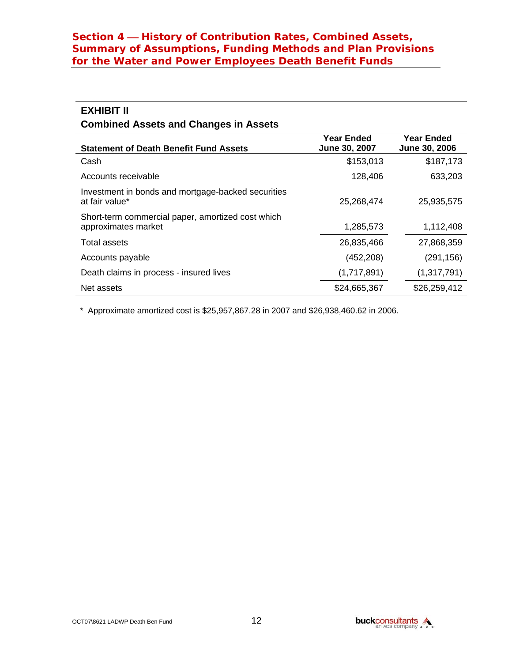# **EXHIBIT II**

#### **Combined Assets and Changes in Assets**

| <b>Statement of Death Benefit Fund Assets</b>                            | <b>Year Ended</b><br>June 30, 2007 | <b>Year Ended</b><br>June 30, 2006 |
|--------------------------------------------------------------------------|------------------------------------|------------------------------------|
| Cash                                                                     | \$153,013                          | \$187,173                          |
| Accounts receivable                                                      | 128,406                            | 633,203                            |
| Investment in bonds and mortgage-backed securities<br>at fair value*     | 25,268,474                         | 25,935,575                         |
| Short-term commercial paper, amortized cost which<br>approximates market | 1,285,573                          | 1,112,408                          |
| Total assets                                                             | 26,835,466                         | 27,868,359                         |
| Accounts payable                                                         | (452, 208)                         | (291, 156)                         |
| Death claims in process - insured lives                                  | (1,717,891)                        | (1, 317, 791)                      |
| Net assets                                                               | \$24,665,367                       | \$26,259,412                       |

\* Approximate amortized cost is \$25,957,867.28 in 2007 and \$26,938,460.62 in 2006.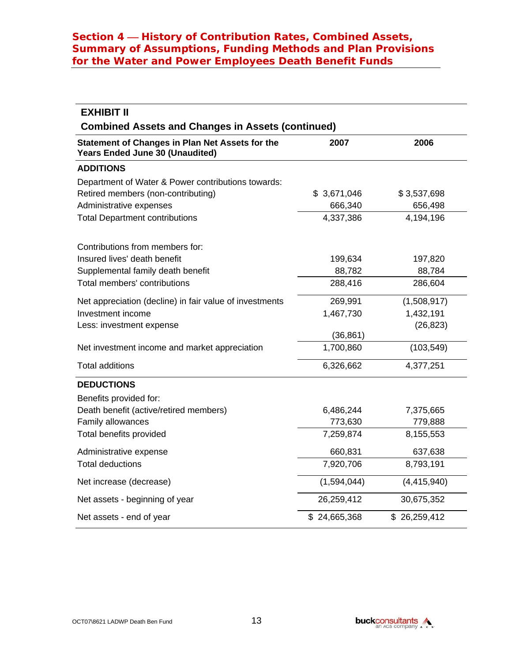| <b>EXHIBIT II</b>                                                                         |              |               |
|-------------------------------------------------------------------------------------------|--------------|---------------|
| <b>Combined Assets and Changes in Assets (continued)</b>                                  |              |               |
| <b>Statement of Changes in Plan Net Assets for the</b><br>Years Ended June 30 (Unaudited) | 2007         | 2006          |
| <b>ADDITIONS</b>                                                                          |              |               |
| Department of Water & Power contributions towards:                                        |              |               |
| Retired members (non-contributing)                                                        | \$3,671,046  | \$3,537,698   |
| Administrative expenses                                                                   | 666,340      | 656,498       |
| <b>Total Department contributions</b>                                                     | 4,337,386    | 4,194,196     |
| Contributions from members for:                                                           |              |               |
| Insured lives' death benefit                                                              | 199,634      | 197,820       |
| Supplemental family death benefit                                                         | 88,782       | 88,784        |
| Total members' contributions                                                              | 288,416      | 286,604       |
| Net appreciation (decline) in fair value of investments                                   | 269,991      | (1,508,917)   |
| Investment income                                                                         | 1,467,730    | 1,432,191     |
| Less: investment expense                                                                  |              | (26, 823)     |
|                                                                                           | (36, 861)    |               |
| Net investment income and market appreciation                                             | 1,700,860    | (103, 549)    |
| <b>Total additions</b>                                                                    | 6,326,662    | 4,377,251     |
| <b>DEDUCTIONS</b>                                                                         |              |               |
| Benefits provided for:                                                                    |              |               |
| Death benefit (active/retired members)                                                    | 6,486,244    | 7,375,665     |
| Family allowances                                                                         | 773,630      | 779,888       |
| Total benefits provided                                                                   | 7,259,874    | 8,155,553     |
| Administrative expense                                                                    | 660,831      | 637,638       |
| <b>Total deductions</b>                                                                   | 7,920,706    | 8,793,191     |
| Net increase (decrease)                                                                   | (1,594,044)  | (4, 415, 940) |
| Net assets - beginning of year                                                            | 26,259,412   | 30,675,352    |
| Net assets - end of year                                                                  | \$24,665,368 | \$26,259,412  |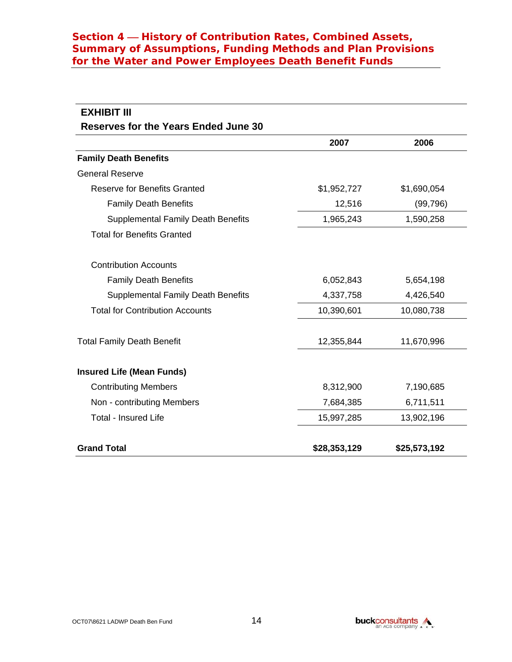| <b>EXHIBIT III</b>                          |              |              |
|---------------------------------------------|--------------|--------------|
| <b>Reserves for the Years Ended June 30</b> |              |              |
|                                             | 2007         | 2006         |
| <b>Family Death Benefits</b>                |              |              |
| <b>General Reserve</b>                      |              |              |
| <b>Reserve for Benefits Granted</b>         | \$1,952,727  | \$1,690,054  |
| <b>Family Death Benefits</b>                | 12,516       | (99, 796)    |
| <b>Supplemental Family Death Benefits</b>   | 1,965,243    | 1,590,258    |
| <b>Total for Benefits Granted</b>           |              |              |
| <b>Contribution Accounts</b>                |              |              |
| <b>Family Death Benefits</b>                | 6,052,843    | 5,654,198    |
| <b>Supplemental Family Death Benefits</b>   | 4,337,758    | 4,426,540    |
| <b>Total for Contribution Accounts</b>      | 10,390,601   | 10,080,738   |
| <b>Total Family Death Benefit</b>           | 12,355,844   | 11,670,996   |
| <b>Insured Life (Mean Funds)</b>            |              |              |
| <b>Contributing Members</b>                 | 8,312,900    | 7,190,685    |
| Non - contributing Members                  | 7,684,385    | 6,711,511    |
| <b>Total - Insured Life</b>                 | 15,997,285   | 13,902,196   |
| <b>Grand Total</b>                          | \$28,353,129 | \$25,573,192 |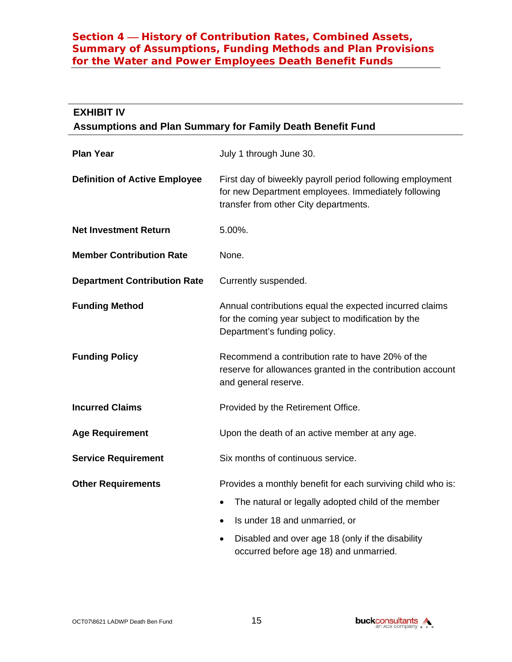| <b>EXHIBIT IV</b><br>Assumptions and Plan Summary for Family Death Benefit Fund |                                                                                                                                                           |  |
|---------------------------------------------------------------------------------|-----------------------------------------------------------------------------------------------------------------------------------------------------------|--|
| <b>Plan Year</b>                                                                | July 1 through June 30.                                                                                                                                   |  |
| <b>Definition of Active Employee</b>                                            | First day of biweekly payroll period following employment<br>for new Department employees. Immediately following<br>transfer from other City departments. |  |
| <b>Net Investment Return</b>                                                    | 5.00%.                                                                                                                                                    |  |
| <b>Member Contribution Rate</b>                                                 | None.                                                                                                                                                     |  |
| <b>Department Contribution Rate</b>                                             | Currently suspended.                                                                                                                                      |  |
| <b>Funding Method</b>                                                           | Annual contributions equal the expected incurred claims<br>for the coming year subject to modification by the<br>Department's funding policy.             |  |
| <b>Funding Policy</b>                                                           | Recommend a contribution rate to have 20% of the<br>reserve for allowances granted in the contribution account<br>and general reserve.                    |  |
| <b>Incurred Claims</b>                                                          | Provided by the Retirement Office.                                                                                                                        |  |
| <b>Age Requirement</b>                                                          | Upon the death of an active member at any age.                                                                                                            |  |
| <b>Service Requirement</b>                                                      | Six months of continuous service.                                                                                                                         |  |
| <b>Other Requirements</b>                                                       | Provides a monthly benefit for each surviving child who is:                                                                                               |  |
|                                                                                 | The natural or legally adopted child of the member                                                                                                        |  |
|                                                                                 | Is under 18 and unmarried, or<br>$\bullet$                                                                                                                |  |
|                                                                                 | Disabled and over age 18 (only if the disability<br>٠<br>occurred before age 18) and unmarried.                                                           |  |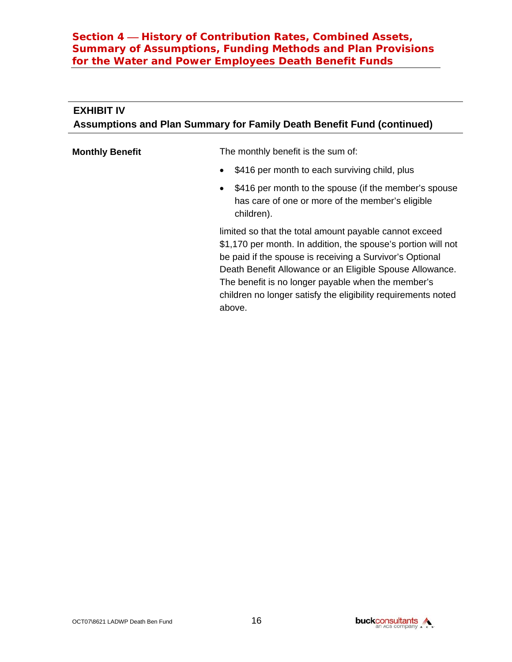# **EXHIBIT IV Assumptions and Plan Summary for Family Death Benefit Fund (continued)**

**Monthly Benefit** The monthly benefit is the sum of:

- \$416 per month to each surviving child, plus
- \$416 per month to the spouse (if the member's spouse has care of one or more of the member's eligible children).

limited so that the total amount payable cannot exceed \$1,170 per month. In addition, the spouse's portion will not be paid if the spouse is receiving a Survivor's Optional Death Benefit Allowance or an Eligible Spouse Allowance. The benefit is no longer payable when the member's children no longer satisfy the eligibility requirements noted above.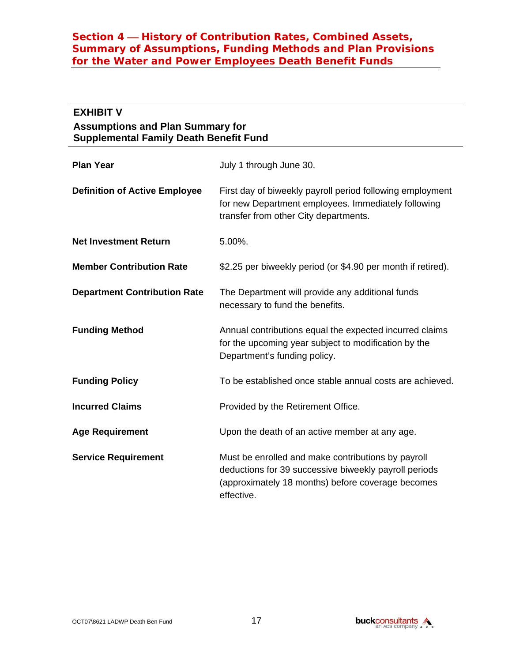# **EXHIBIT V**

#### **Assumptions and Plan Summary for Supplemental Family Death Benefit Fund**

| <b>Plan Year</b>                     | July 1 through June 30.                                                                                                                                                        |
|--------------------------------------|--------------------------------------------------------------------------------------------------------------------------------------------------------------------------------|
| <b>Definition of Active Employee</b> | First day of biweekly payroll period following employment<br>for new Department employees. Immediately following<br>transfer from other City departments.                      |
| <b>Net Investment Return</b>         | 5.00%.                                                                                                                                                                         |
| <b>Member Contribution Rate</b>      | \$2.25 per biweekly period (or \$4.90 per month if retired).                                                                                                                   |
| <b>Department Contribution Rate</b>  | The Department will provide any additional funds<br>necessary to fund the benefits.                                                                                            |
| <b>Funding Method</b>                | Annual contributions equal the expected incurred claims<br>for the upcoming year subject to modification by the<br>Department's funding policy.                                |
| <b>Funding Policy</b>                | To be established once stable annual costs are achieved.                                                                                                                       |
| <b>Incurred Claims</b>               | Provided by the Retirement Office.                                                                                                                                             |
| <b>Age Requirement</b>               | Upon the death of an active member at any age.                                                                                                                                 |
| <b>Service Requirement</b>           | Must be enrolled and make contributions by payroll<br>deductions for 39 successive biweekly payroll periods<br>(approximately 18 months) before coverage becomes<br>effective. |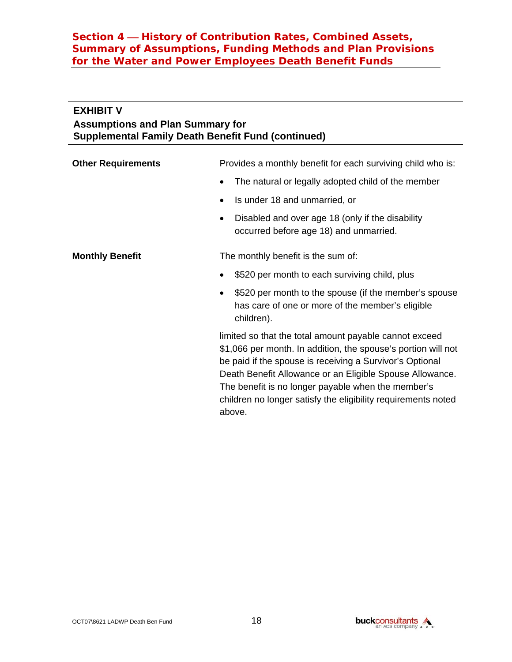#### **EXHIBIT V**

#### **Assumptions and Plan Summary for Supplemental Family Death Benefit Fund (continued)**

| <b>Other Requirements</b> | Provides a monthly benefit for each surviving child who is:                                                                                                                                                                                                                                                                                                            |
|---------------------------|------------------------------------------------------------------------------------------------------------------------------------------------------------------------------------------------------------------------------------------------------------------------------------------------------------------------------------------------------------------------|
|                           | The natural or legally adopted child of the member<br>٠                                                                                                                                                                                                                                                                                                                |
|                           | Is under 18 and unmarried, or<br>٠                                                                                                                                                                                                                                                                                                                                     |
|                           | Disabled and over age 18 (only if the disability<br>occurred before age 18) and unmarried.                                                                                                                                                                                                                                                                             |
| <b>Monthly Benefit</b>    | The monthly benefit is the sum of:                                                                                                                                                                                                                                                                                                                                     |
|                           | \$520 per month to each surviving child, plus                                                                                                                                                                                                                                                                                                                          |
|                           | \$520 per month to the spouse (if the member's spouse<br>٠<br>has care of one or more of the member's eligible<br>children).                                                                                                                                                                                                                                           |
|                           | limited so that the total amount payable cannot exceed<br>\$1,066 per month. In addition, the spouse's portion will not<br>be paid if the spouse is receiving a Survivor's Optional<br>Death Benefit Allowance or an Eligible Spouse Allowance.<br>The benefit is no longer payable when the member's<br>children no longer satisfy the eligibility requirements noted |

above.

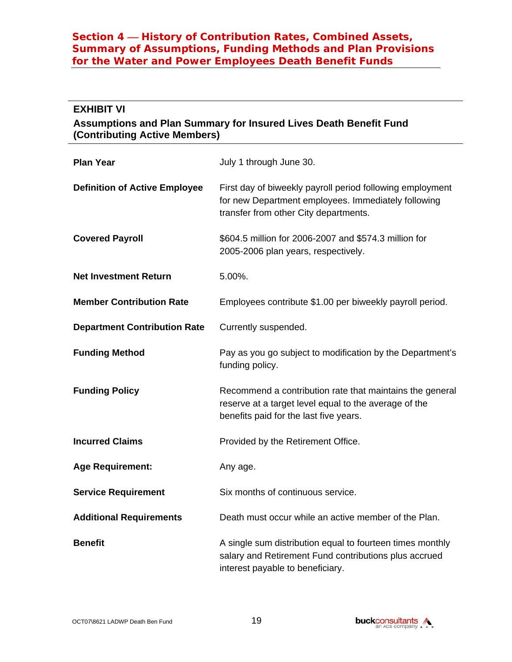#### **EXHIBIT VI**

#### **Assumptions and Plan Summary for Insured Lives Death Benefit Fund (Contributing Active Members)**

| <b>Plan Year</b>                     | July 1 through June 30.                                                                                                                                     |
|--------------------------------------|-------------------------------------------------------------------------------------------------------------------------------------------------------------|
| <b>Definition of Active Employee</b> | First day of biweekly payroll period following employment<br>for new Department employees. Immediately following<br>transfer from other City departments.   |
| <b>Covered Payroll</b>               | \$604.5 million for 2006-2007 and \$574.3 million for<br>2005-2006 plan years, respectively.                                                                |
| <b>Net Investment Return</b>         | 5.00%.                                                                                                                                                      |
| <b>Member Contribution Rate</b>      | Employees contribute \$1.00 per biweekly payroll period.                                                                                                    |
| <b>Department Contribution Rate</b>  | Currently suspended.                                                                                                                                        |
| <b>Funding Method</b>                | Pay as you go subject to modification by the Department's<br>funding policy.                                                                                |
| <b>Funding Policy</b>                | Recommend a contribution rate that maintains the general<br>reserve at a target level equal to the average of the<br>benefits paid for the last five years. |
| <b>Incurred Claims</b>               | Provided by the Retirement Office.                                                                                                                          |
| <b>Age Requirement:</b>              | Any age.                                                                                                                                                    |
| <b>Service Requirement</b>           | Six months of continuous service.                                                                                                                           |
| <b>Additional Requirements</b>       | Death must occur while an active member of the Plan.                                                                                                        |
| <b>Benefit</b>                       | A single sum distribution equal to fourteen times monthly<br>salary and Retirement Fund contributions plus accrued<br>interest payable to beneficiary.      |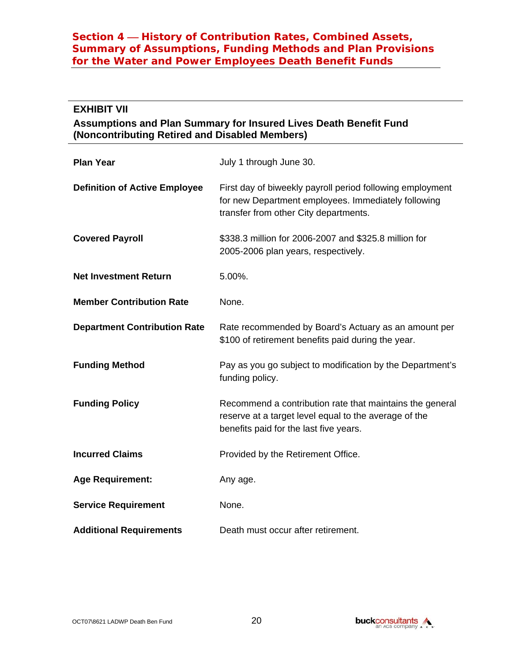#### **EXHIBIT VII**

#### **Assumptions and Plan Summary for Insured Lives Death Benefit Fund (Noncontributing Retired and Disabled Members)**

| <b>Plan Year</b>                     | July 1 through June 30.                                                                                                                                     |
|--------------------------------------|-------------------------------------------------------------------------------------------------------------------------------------------------------------|
| <b>Definition of Active Employee</b> | First day of biweekly payroll period following employment<br>for new Department employees. Immediately following<br>transfer from other City departments.   |
| <b>Covered Payroll</b>               | \$338.3 million for 2006-2007 and \$325.8 million for<br>2005-2006 plan years, respectively.                                                                |
| <b>Net Investment Return</b>         | 5.00%.                                                                                                                                                      |
| <b>Member Contribution Rate</b>      | None.                                                                                                                                                       |
| <b>Department Contribution Rate</b>  | Rate recommended by Board's Actuary as an amount per<br>\$100 of retirement benefits paid during the year.                                                  |
| <b>Funding Method</b>                | Pay as you go subject to modification by the Department's<br>funding policy.                                                                                |
| <b>Funding Policy</b>                | Recommend a contribution rate that maintains the general<br>reserve at a target level equal to the average of the<br>benefits paid for the last five years. |
| <b>Incurred Claims</b>               | Provided by the Retirement Office.                                                                                                                          |
| <b>Age Requirement:</b>              | Any age.                                                                                                                                                    |
| <b>Service Requirement</b>           | None.                                                                                                                                                       |
| <b>Additional Requirements</b>       | Death must occur after retirement.                                                                                                                          |